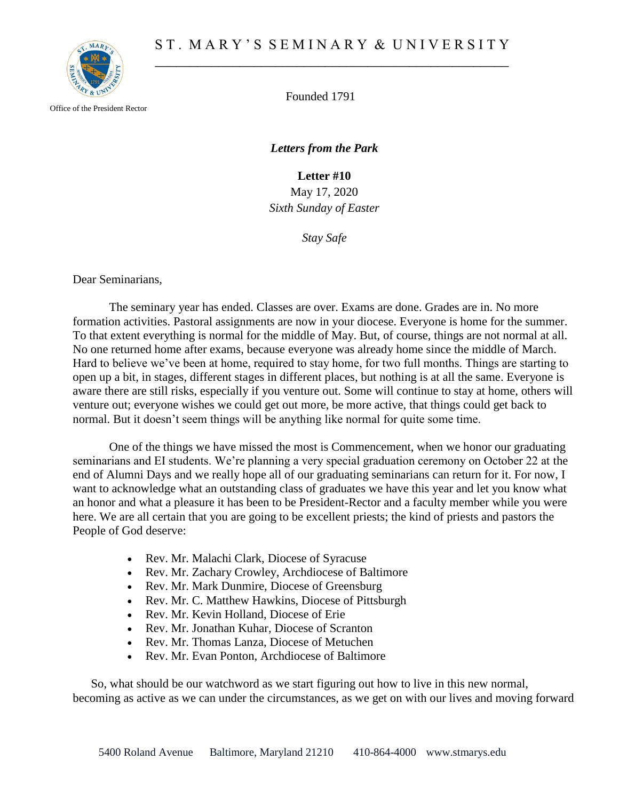

Office of the President Rector

Founded 1791

*Letters from the Park*

**Letter #10** May 17, 2020 *Sixth Sunday of Easter*

*Stay Safe*

Dear Seminarians,

The seminary year has ended. Classes are over. Exams are done. Grades are in. No more formation activities. Pastoral assignments are now in your diocese. Everyone is home for the summer. To that extent everything is normal for the middle of May. But, of course, things are not normal at all. No one returned home after exams, because everyone was already home since the middle of March. Hard to believe we've been at home, required to stay home, for two full months. Things are starting to open up a bit, in stages, different stages in different places, but nothing is at all the same. Everyone is aware there are still risks, especially if you venture out. Some will continue to stay at home, others will venture out; everyone wishes we could get out more, be more active, that things could get back to normal. But it doesn't seem things will be anything like normal for quite some time.

One of the things we have missed the most is Commencement, when we honor our graduating seminarians and EI students. We're planning a very special graduation ceremony on October 22 at the end of Alumni Days and we really hope all of our graduating seminarians can return for it. For now, I want to acknowledge what an outstanding class of graduates we have this year and let you know what an honor and what a pleasure it has been to be President-Rector and a faculty member while you were here. We are all certain that you are going to be excellent priests; the kind of priests and pastors the People of God deserve:

- Rev. Mr. Malachi Clark, Diocese of Syracuse
- Rev. Mr. Zachary Crowley, Archdiocese of Baltimore
- Rev. Mr. Mark Dunmire, Diocese of Greensburg
- Rev. Mr. C. Matthew Hawkins, Diocese of Pittsburgh
- Rev. Mr. Kevin Holland, Diocese of Erie
- Rev. Mr. Jonathan Kuhar, Diocese of Scranton
- Rev. Mr. Thomas Lanza, Diocese of Metuchen
- Rev. Mr. Evan Ponton, Archdiocese of Baltimore

So, what should be our watchword as we start figuring out how to live in this new normal, becoming as active as we can under the circumstances, as we get on with our lives and moving forward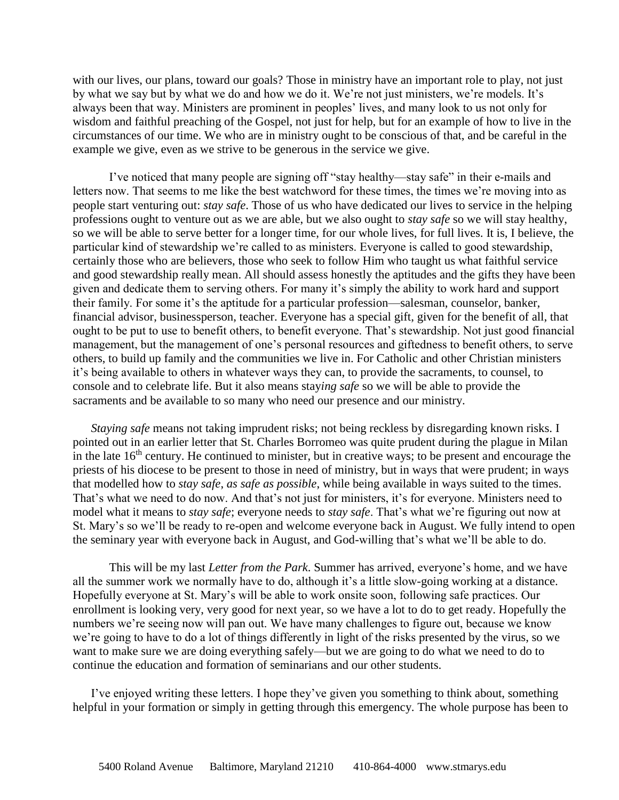with our lives, our plans, toward our goals? Those in ministry have an important role to play, not just by what we say but by what we do and how we do it. We're not just ministers, we're models. It's always been that way. Ministers are prominent in peoples' lives, and many look to us not only for wisdom and faithful preaching of the Gospel, not just for help, but for an example of how to live in the circumstances of our time. We who are in ministry ought to be conscious of that, and be careful in the example we give, even as we strive to be generous in the service we give.

I've noticed that many people are signing off "stay healthy—stay safe" in their e-mails and letters now. That seems to me like the best watchword for these times, the times we're moving into as people start venturing out: *stay safe*. Those of us who have dedicated our lives to service in the helping professions ought to venture out as we are able, but we also ought to *stay safe* so we will stay healthy, so we will be able to serve better for a longer time, for our whole lives, for full lives. It is, I believe, the particular kind of stewardship we're called to as ministers. Everyone is called to good stewardship, certainly those who are believers, those who seek to follow Him who taught us what faithful service and good stewardship really mean. All should assess honestly the aptitudes and the gifts they have been given and dedicate them to serving others. For many it's simply the ability to work hard and support their family. For some it's the aptitude for a particular profession—salesman, counselor, banker, financial advisor, businessperson, teacher. Everyone has a special gift, given for the benefit of all, that ought to be put to use to benefit others, to benefit everyone. That's stewardship. Not just good financial management, but the management of one's personal resources and giftedness to benefit others, to serve others, to build up family and the communities we live in. For Catholic and other Christian ministers it's being available to others in whatever ways they can, to provide the sacraments, to counsel, to console and to celebrate life. But it also means stay*ing safe* so we will be able to provide the sacraments and be available to so many who need our presence and our ministry.

*Staying safe* means not taking imprudent risks; not being reckless by disregarding known risks. I pointed out in an earlier letter that St. Charles Borromeo was quite prudent during the plague in Milan in the late  $16<sup>th</sup>$  century. He continued to minister, but in creative ways; to be present and encourage the priests of his diocese to be present to those in need of ministry, but in ways that were prudent; in ways that modelled how to *stay safe*, *as safe as possible*, while being available in ways suited to the times. That's what we need to do now. And that's not just for ministers, it's for everyone. Ministers need to model what it means to *stay safe*; everyone needs to *stay safe*. That's what we're figuring out now at St. Mary's so we'll be ready to re-open and welcome everyone back in August. We fully intend to open the seminary year with everyone back in August, and God-willing that's what we'll be able to do.

This will be my last *Letter from the Park*. Summer has arrived, everyone's home, and we have all the summer work we normally have to do, although it's a little slow-going working at a distance. Hopefully everyone at St. Mary's will be able to work onsite soon, following safe practices. Our enrollment is looking very, very good for next year, so we have a lot to do to get ready. Hopefully the numbers we're seeing now will pan out. We have many challenges to figure out, because we know we're going to have to do a lot of things differently in light of the risks presented by the virus, so we want to make sure we are doing everything safely—but we are going to do what we need to do to continue the education and formation of seminarians and our other students.

I've enjoyed writing these letters. I hope they've given you something to think about, something helpful in your formation or simply in getting through this emergency. The whole purpose has been to